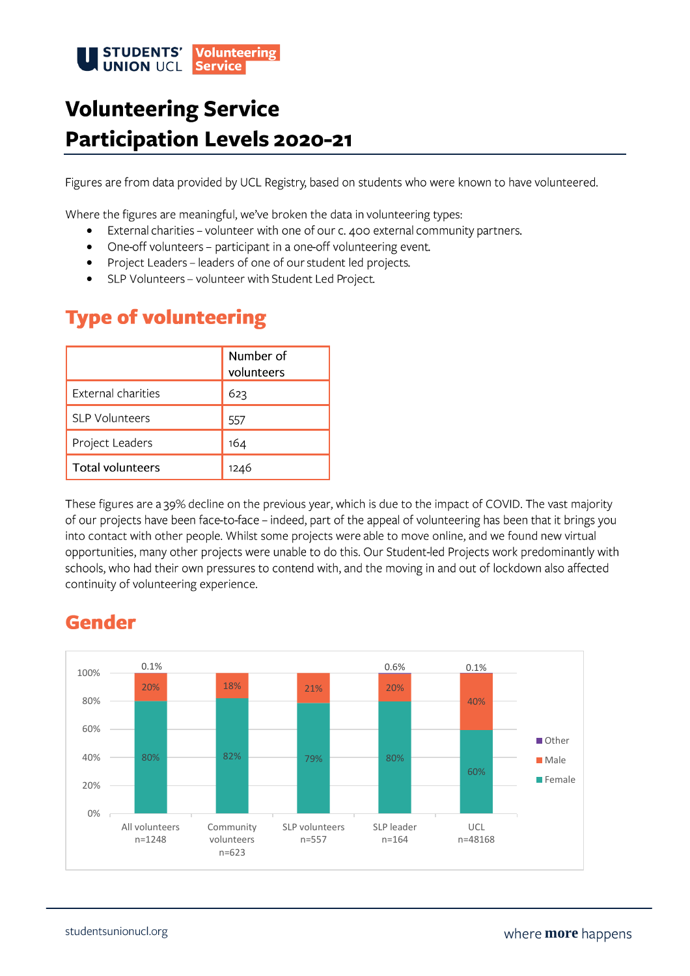

# **Volunteering Service Participation Levels 2020-21**

Figures are from data provided by UCL Registry, based on students who were known to have volunteered.

Where the figures are meaningful, we've broken the data in volunteering types:

- External charities volunteer with one of our c. 400 external community partners. •
- One-off volunteers participant in a one-off volunteering event. •
- Project Leaders leaders of one of our student led projects. •
- SLP Volunteers volunteer with Student Led Project. •

### **Type of volunteering**

|                         | Number of<br>volunteers |
|-------------------------|-------------------------|
| External charities      | 623                     |
| SLP Volunteers          | 557                     |
| Project Leaders         | 164                     |
| <b>Total volunteers</b> | 1246                    |

These figures are a 39% decline on the previous year, which is due to the impact of COVID. The vast majority of our projects have been face-to-face - indeed, part of the appeal of volunteering has been that it brings you into contact with other people. Whilst some projects were able to move online, and we found new virtual opportunities, many other projects were unable to do this. Our Student-led Projects work predominantly with schools, who had their own pressures to contend with, and the moving in and out of lockdown also affected continuity of volunteering experience.

### **Gender**

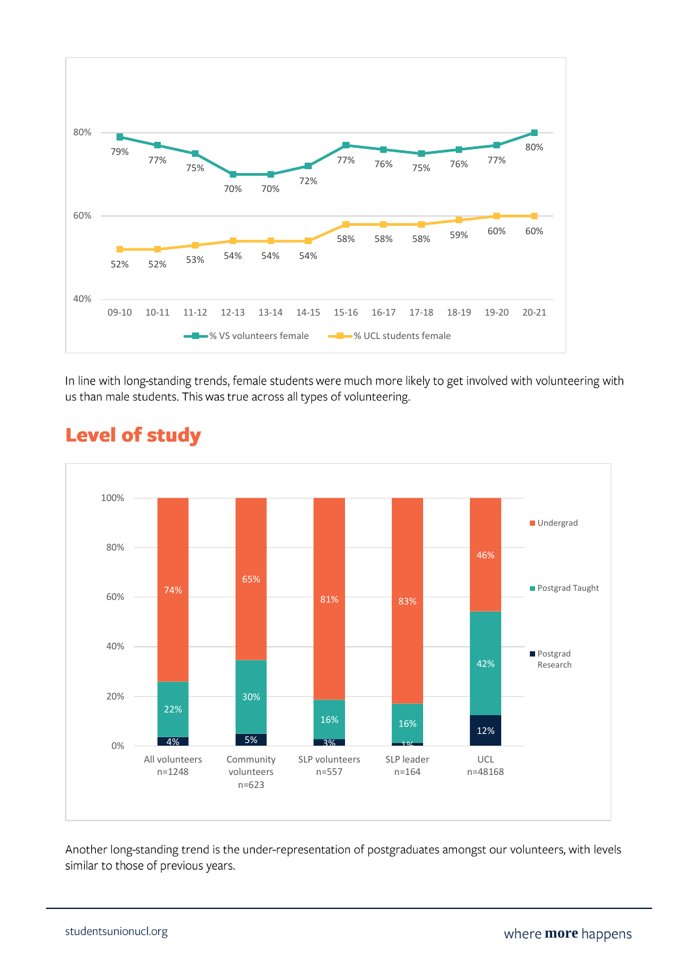

In line with long-standing trends, female students were much more likely to get involved with volunteering with us than male students. This was true across all types of volunteering.



### **Level of study**

Another long-standing trend is the under-representation of postgraduates amongst our volunteers, with levels similar to those of previous years.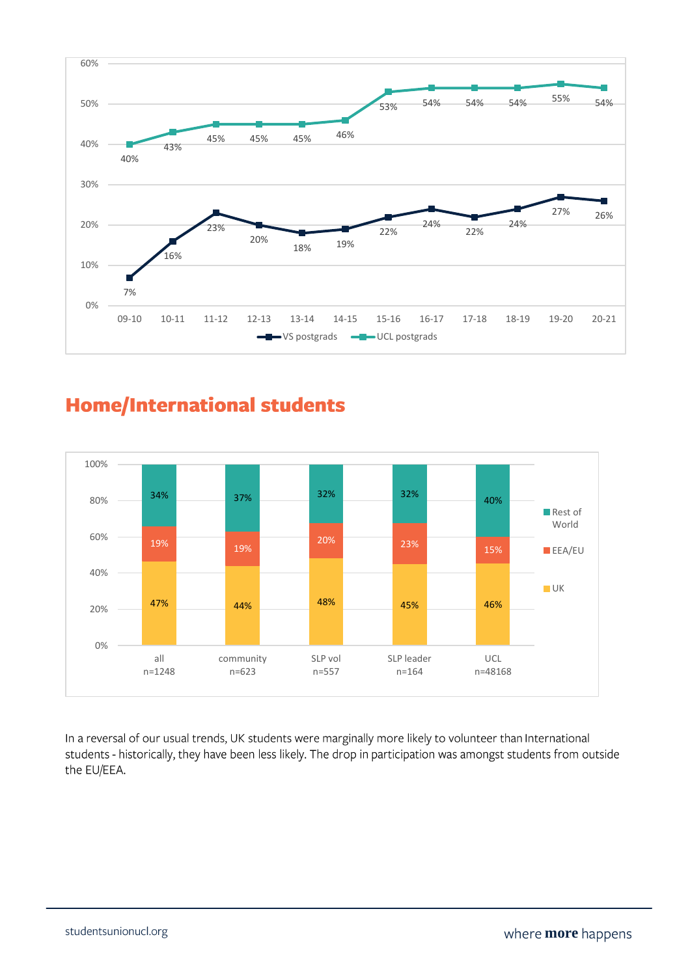

### **Home/International students**



In a reversal of our usual trends, UK students were marginally more likely to volunteer than International students - historically, they have been less likely. The drop in participation was amongst students from outside the EU/EEA.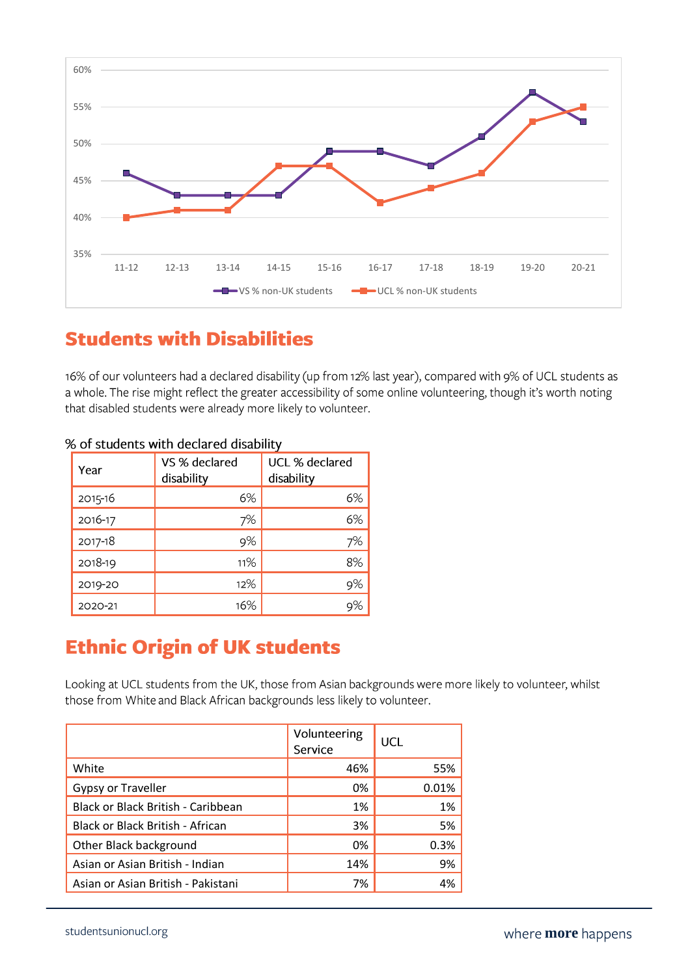

### **Students with Disabilities**

16% of our volunteers had a declared disability (up from 12% last year), compared with 9% of UCL students as a whole. The rise might reflect the greater accessibility of some online volunteering, though it's worth noting that disabled students were already more likely to volunteer.

| Year    | VS % declared<br>disability | UCL % declared<br>disability |
|---------|-----------------------------|------------------------------|
| 2015-16 | 6%                          | 6%                           |
| 2016-17 | 7%                          | 6%                           |
| 2017-18 | 9%                          | 7%                           |
| 2018-19 | 11%                         | 8%                           |
| 2019-20 | 12%                         | 9%                           |
| 2020-21 | 16%                         |                              |

#### % of students with declared disability

### **Ethnic Origin of UK students**

Looking at UCL students from the UK, those from Asian backgrounds were more likely to volunteer, whilst those from White and Black African backgrounds less likely to volunteer.

|                                    | Volunteering<br>Service | UCL   |
|------------------------------------|-------------------------|-------|
| White                              | 46%                     | 55%   |
| Gypsy or Traveller                 | 0%                      | 0.01% |
| Black or Black British - Caribbean | 1%                      | 1%    |
| Black or Black British - African   | 3%                      | 5%    |
| Other Black background             | 0%                      | 0.3%  |
| Asian or Asian British - Indian    | 14%                     | 9%    |
| Asian or Asian British - Pakistani | 7%                      | 4%    |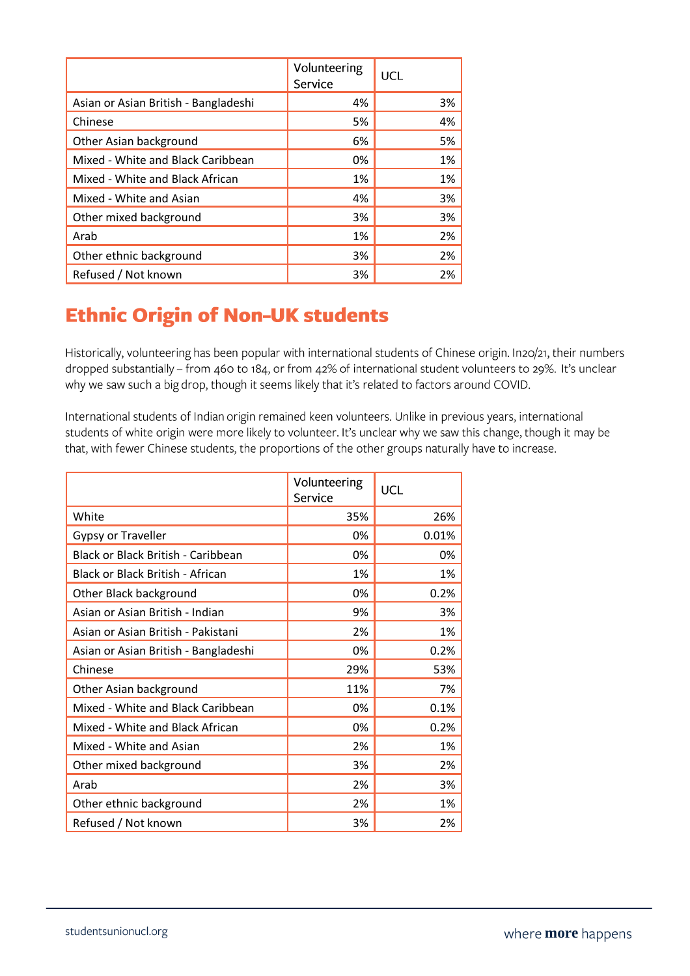|                                      | Volunteering<br>Service | UCL |
|--------------------------------------|-------------------------|-----|
| Asian or Asian British - Bangladeshi | 4%                      | 3%  |
| Chinese                              | 5%                      | 4%  |
| Other Asian background               | 6%                      | 5%  |
| Mixed - White and Black Caribbean    | 0%                      | 1%  |
| Mixed - White and Black African      | 1%                      | 1%  |
| Mixed - White and Asian              | 4%                      | 3%  |
| Other mixed background               | 3%                      | 3%  |
| Arab                                 | 1%                      | 2%  |
| Other ethnic background              | 3%                      | 2%  |
| Refused / Not known                  | 3%                      | 2%  |

## **Ethnic Origin of Non-UK students**

Historically, volunteering has been popular with international students of Chinese origin. In20/21, their numbers dropped substantially - from 460 to 184, or from 42% of international student volunteers to 29%. It's unclear why we saw such a big drop, though it seems likely that it's related to factors around COVID.

International students of Indian origin remained keen volunteers. Unlike in previous years, international students of white origin were more likely to volunteer. It's unclear why we saw this change, though it may be that, with fewer Chinese students, the proportions of the other groups naturally have to increase.

|                                           | Volunteering<br>Service | <b>UCL</b> |
|-------------------------------------------|-------------------------|------------|
| White                                     | 35%                     | 26%        |
| <b>Gypsy or Traveller</b>                 | 0%                      | 0.01%      |
| <b>Black or Black British - Caribbean</b> | 0%                      | 0%         |
| Black or Black British - African          | 1%                      | 1%         |
| Other Black background                    | 0%                      | 0.2%       |
| Asian or Asian British - Indian           | 9%                      | 3%         |
| Asian or Asian British - Pakistani        | 2%                      | 1%         |
| Asian or Asian British - Bangladeshi      | 0%                      | 0.2%       |
| Chinese                                   | 29%                     | 53%        |
| Other Asian background                    | 11%                     | 7%         |
| Mixed - White and Black Caribbean         | 0%                      | 0.1%       |
| Mixed - White and Black African           | 0%                      | 0.2%       |
| Mixed - White and Asian                   | 2%                      | 1%         |
| Other mixed background                    | 3%                      | 2%         |
| Arab                                      | 2%                      | 3%         |
| Other ethnic background                   | 2%                      | 1%         |
| Refused / Not known                       | 3%                      | 2%         |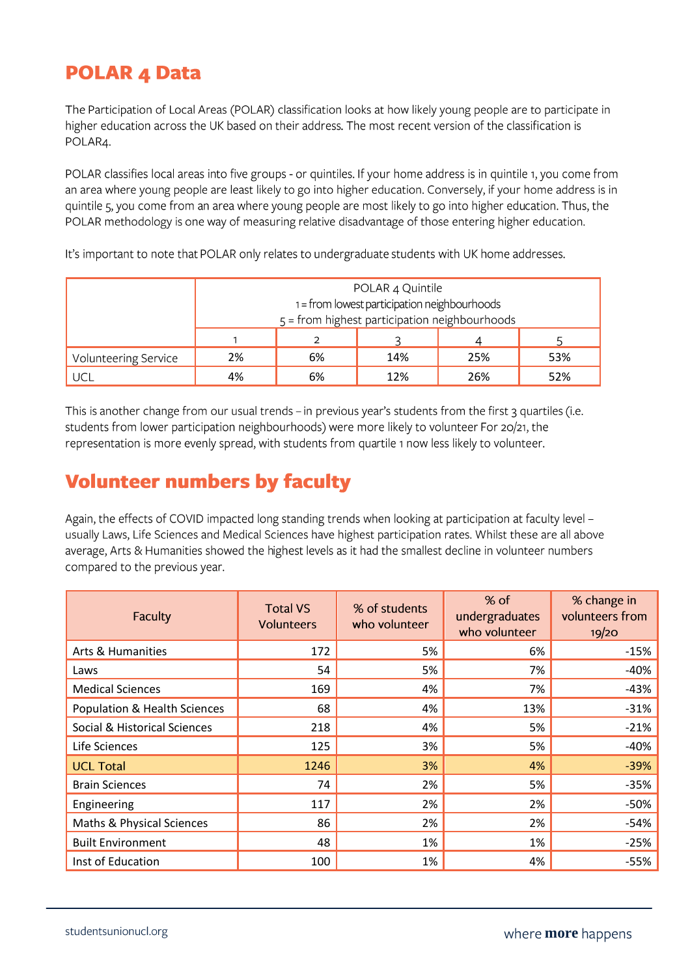### **POLAR 4 Data**

The Participation of Local Areas (POLAR) classification looks at how likely young people are to participate in higher education across the UK based on their address. The most recent version of the classification is POLAR4.

POLAR classifies local areas into five groups - or quintiles. If your home address is in quintile 1, you come from an area where young people are least likely to go into higher education. Conversely, if your home address is in quintile 5, you come from an area where young people are most likely to go into higher education. Thus, the POLAR methodology is one way of measuring relative disadvantage of those entering higher education.

It's important to note that POLAR only relates to undergraduate students with UK home addresses.

|                      | POLAR 4 Quintile<br>1 = from lowest participation neighbourhoods<br>5 = from highest participation neighbourhoods |  |  |  |  |  |
|----------------------|-------------------------------------------------------------------------------------------------------------------|--|--|--|--|--|
|                      |                                                                                                                   |  |  |  |  |  |
| Volunteering Service | 2%<br>14%<br>6%<br>25%                                                                                            |  |  |  |  |  |
| UCL                  | 12%<br>52%<br>4%<br>6%<br>26%                                                                                     |  |  |  |  |  |

This is another change from our usual trends - in previous year's students from the first 3 quartiles (i.e. students from lower participation neighbourhoods) were more likely to volunteer For 20/21, the representation is more evenly spread, with students from quartile 1 now less likely to volunteer.

### **Volunteer numbers by faculty**

Again, the effects of COVID impacted long standing trends when looking at participation at faculty level usually Laws, Life Sciences and Medical Sciences have highest participation rates. Whilst these are all above average, Arts & Humanities showed the highest levels as it had the smallest decline in volunteer numbers compared to the previous year.

| <b>Faculty</b>               | <b>Total VS</b><br><b>Volunteers</b> | % of students<br>who volunteer | $%$ of<br>undergraduates<br>who volunteer | % change in<br>volunteers from<br>19/20 |
|------------------------------|--------------------------------------|--------------------------------|-------------------------------------------|-----------------------------------------|
| Arts & Humanities            | 172                                  | 5%                             | 6%                                        | $-15%$                                  |
| Laws                         | 54                                   | 5%                             | 7%                                        | $-40%$                                  |
| <b>Medical Sciences</b>      | 169                                  | 4%                             | 7%                                        | $-43%$                                  |
| Population & Health Sciences | 68                                   | 4%                             | 13%                                       | $-31%$                                  |
| Social & Historical Sciences | 218                                  | 4%                             | 5%                                        | $-21%$                                  |
| Life Sciences                | 125                                  | 3%                             | 5%                                        | $-40%$                                  |
| <b>UCL Total</b>             | 1246                                 | 3%                             | 4%                                        | $-39%$                                  |
| <b>Brain Sciences</b>        | 74                                   | 2%                             | 5%                                        | $-35%$                                  |
| Engineering                  | 117                                  | 2%                             | 2%                                        | $-50%$                                  |
| Maths & Physical Sciences    | 86                                   | 2%                             | 2%                                        | $-54%$                                  |
| <b>Built Environment</b>     | 48                                   | 1%                             | 1%                                        | $-25%$                                  |
| Inst of Education            | 100                                  | 1%                             | 4%                                        | $-55%$                                  |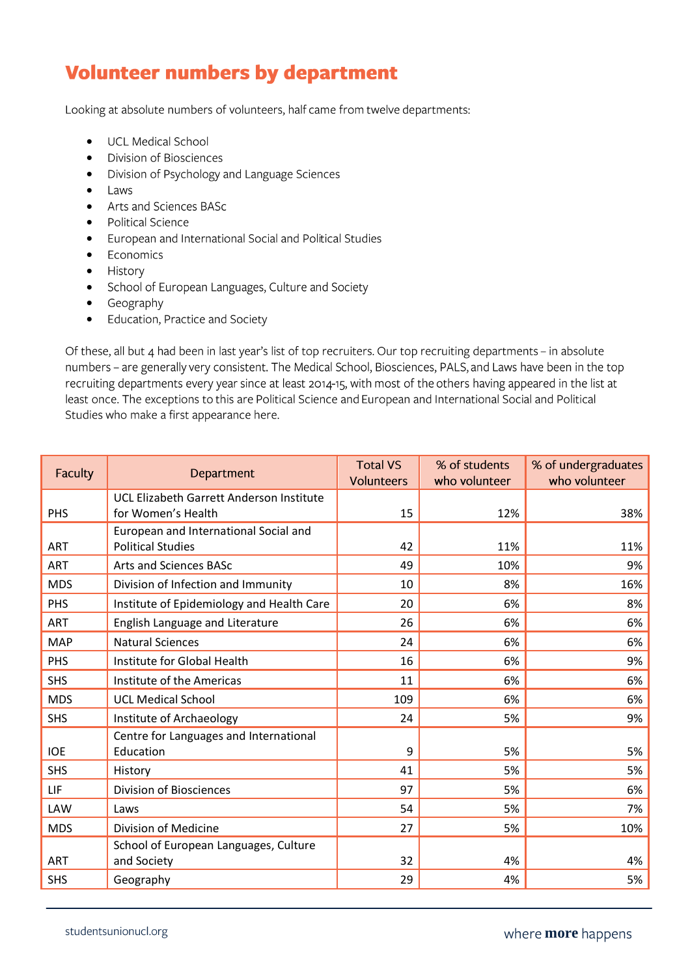### **Volunteer numbers by department**

Looking at absolute numbers of volunteers, half came from twelve departments:

- UCL Medical School
- Division of Biosciences
- Division of Psychology and Language Sciences •
- Laws
- Arts and Sciences BASc
- Political Science •
- European and International Social and Political Studies
- Economics •
- History
- School of European Languages, Culture and Society
- Geography
- Education, Practice and Society •

Of these, all but 4 had been in last year's list of top recruiters. Our top recruiting departments - in absolute numbers - are generally very consistent. The Medical School, Biosciences, PALS, and Laws have been in the top recruiting departments every year since at least 2014-15, with most of the others having appeared in the list at least once. The exceptions to this are Political Science and European and International Social and Political Studies who make a first appearance here.

| Faculty    | Department                                                        | <b>Total VS</b><br>Volunteers | % of students<br>who volunteer | % of undergraduates<br>who volunteer |
|------------|-------------------------------------------------------------------|-------------------------------|--------------------------------|--------------------------------------|
| PHS        | UCL Elizabeth Garrett Anderson Institute<br>for Women's Health    | 15                            | 12%                            | 38%                                  |
| <b>ART</b> | European and International Social and<br><b>Political Studies</b> | 42                            | 11%                            | 11%                                  |
| <b>ART</b> | <b>Arts and Sciences BASc</b>                                     | 49                            | 10%                            | 9%                                   |
| <b>MDS</b> | Division of Infection and Immunity                                | 10                            | 8%                             | 16%                                  |
| PHS        | Institute of Epidemiology and Health Care                         | 20                            | 6%                             | 8%                                   |
| <b>ART</b> | English Language and Literature                                   | 26                            | 6%                             | 6%                                   |
| <b>MAP</b> | <b>Natural Sciences</b>                                           | 24                            | 6%                             | 6%                                   |
| PHS        | Institute for Global Health                                       | 16                            | 6%                             | 9%                                   |
| <b>SHS</b> | Institute of the Americas                                         | 11                            | 6%                             | 6%                                   |
| <b>MDS</b> | <b>UCL Medical School</b>                                         | 109                           | 6%                             | 6%                                   |
| <b>SHS</b> | Institute of Archaeology                                          | 24                            | 5%                             | 9%                                   |
| <b>IOE</b> | Centre for Languages and International<br>Education               | 9                             | 5%                             | 5%                                   |
| <b>SHS</b> | History                                                           | 41                            | 5%                             | 5%                                   |
| LIF        | <b>Division of Biosciences</b>                                    | 97                            | 5%                             | 6%                                   |
| <b>LAW</b> | Laws                                                              | 54                            | 5%                             | 7%                                   |
| <b>MDS</b> | Division of Medicine                                              | 27                            | 5%                             | 10%                                  |
| <b>ART</b> | School of European Languages, Culture<br>and Society              | 32                            | 4%                             | 4%                                   |
| <b>SHS</b> | Geography                                                         | 29                            | 4%                             | 5%                                   |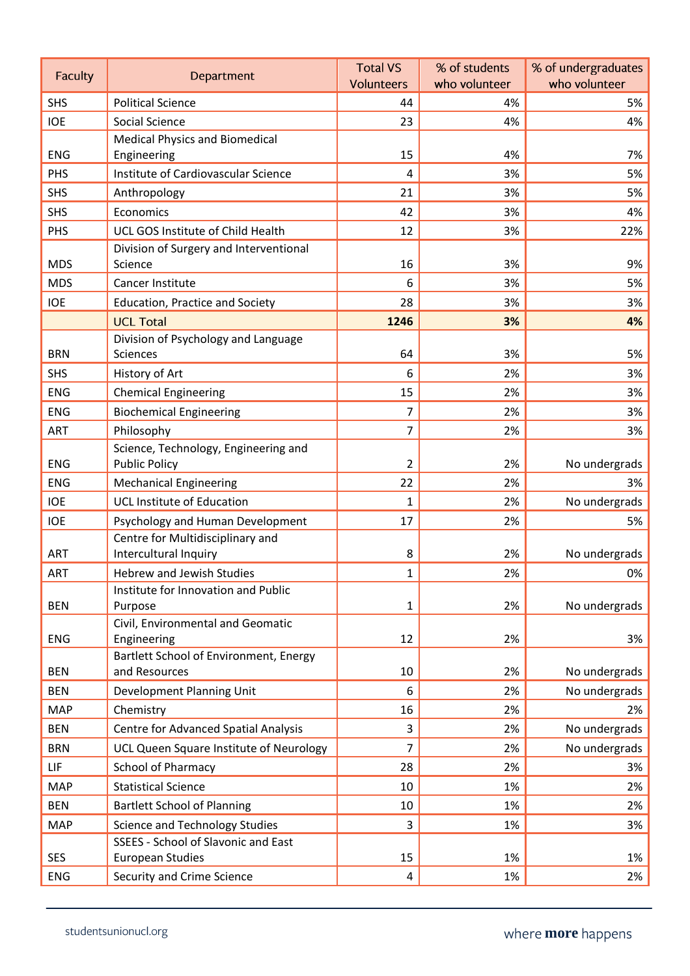| <b>Faculty</b> | Department                                                   | <b>Total VS</b>   | % of students | % of undergraduates |
|----------------|--------------------------------------------------------------|-------------------|---------------|---------------------|
|                |                                                              | <b>Volunteers</b> | who volunteer | who volunteer       |
| <b>SHS</b>     | <b>Political Science</b>                                     | 44                | 4%            | 5%                  |
| <b>IOE</b>     | Social Science                                               | 23                | 4%            | 4%                  |
| <b>ENG</b>     | <b>Medical Physics and Biomedical</b><br>Engineering         | 15                | 4%            | 7%                  |
| PHS            | Institute of Cardiovascular Science                          | 4                 | 3%            | 5%                  |
| <b>SHS</b>     | Anthropology                                                 | 21                | 3%            | 5%                  |
| <b>SHS</b>     | Economics                                                    | 42                | 3%            | 4%                  |
| PHS            | UCL GOS Institute of Child Health                            | 12                | 3%            | 22%                 |
| <b>MDS</b>     | Division of Surgery and Interventional<br>Science            | 16                | 3%            | 9%                  |
| <b>MDS</b>     | Cancer Institute                                             | 6                 | 3%            | 5%                  |
| <b>IOE</b>     | <b>Education, Practice and Society</b>                       | 28                | 3%            | 3%                  |
|                | <b>UCL Total</b>                                             | 1246              | 3%            | 4%                  |
|                | Division of Psychology and Language                          |                   |               |                     |
| <b>BRN</b>     | Sciences                                                     | 64                | 3%            | 5%                  |
| <b>SHS</b>     | History of Art                                               | 6                 | 2%            | 3%                  |
| <b>ENG</b>     | <b>Chemical Engineering</b>                                  | 15                | 2%            | 3%                  |
| <b>ENG</b>     | <b>Biochemical Engineering</b>                               | 7                 | 2%            | 3%                  |
| ART            | Philosophy                                                   | 7                 | 2%            | 3%                  |
| <b>ENG</b>     | Science, Technology, Engineering and<br><b>Public Policy</b> | $\overline{2}$    | 2%            | No undergrads       |
| <b>ENG</b>     | <b>Mechanical Engineering</b>                                | 22                | 2%            | 3%                  |
| <b>IOE</b>     | <b>UCL Institute of Education</b>                            | $\mathbf{1}$      | 2%            | No undergrads       |
| <b>IOE</b>     | Psychology and Human Development                             | 17                | 2%            | 5%                  |
|                | Centre for Multidisciplinary and                             |                   |               |                     |
| <b>ART</b>     | Intercultural Inquiry                                        | 8                 | 2%            | No undergrads       |
| <b>ART</b>     | <b>Hebrew and Jewish Studies</b>                             | 1                 | 2%            | 0%                  |
|                | Institute for Innovation and Public                          |                   |               |                     |
| <b>BEN</b>     | Purpose<br>Civil, Environmental and Geomatic                 | $\mathbf{1}$      | 2%            | No undergrads       |
| <b>ENG</b>     | Engineering                                                  | 12                | 2%            | 3%                  |
| <b>BEN</b>     | Bartlett School of Environment, Energy<br>and Resources      | 10                | 2%            | No undergrads       |
| <b>BEN</b>     | Development Planning Unit                                    | 6                 | 2%            | No undergrads       |
| <b>MAP</b>     | Chemistry                                                    | 16                | 2%            | 2%                  |
| <b>BEN</b>     | <b>Centre for Advanced Spatial Analysis</b>                  | 3                 | 2%            | No undergrads       |
| <b>BRN</b>     | UCL Queen Square Institute of Neurology                      | $\overline{7}$    | 2%            | No undergrads       |
| LIF            | <b>School of Pharmacy</b>                                    | 28                | 2%            | 3%                  |
| <b>MAP</b>     | <b>Statistical Science</b>                                   | 10                | 1%            | 2%                  |
| <b>BEN</b>     | <b>Bartlett School of Planning</b>                           | 10                | 1%            | 2%                  |
| <b>MAP</b>     | <b>Science and Technology Studies</b>                        | 3                 | 1%            | 3%                  |
|                | SSEES - School of Slavonic and East                          |                   |               |                     |
| <b>SES</b>     | <b>European Studies</b>                                      | 15                | 1%            | 1%                  |
| <b>ENG</b>     | Security and Crime Science                                   | 4                 | 1%            | 2%                  |